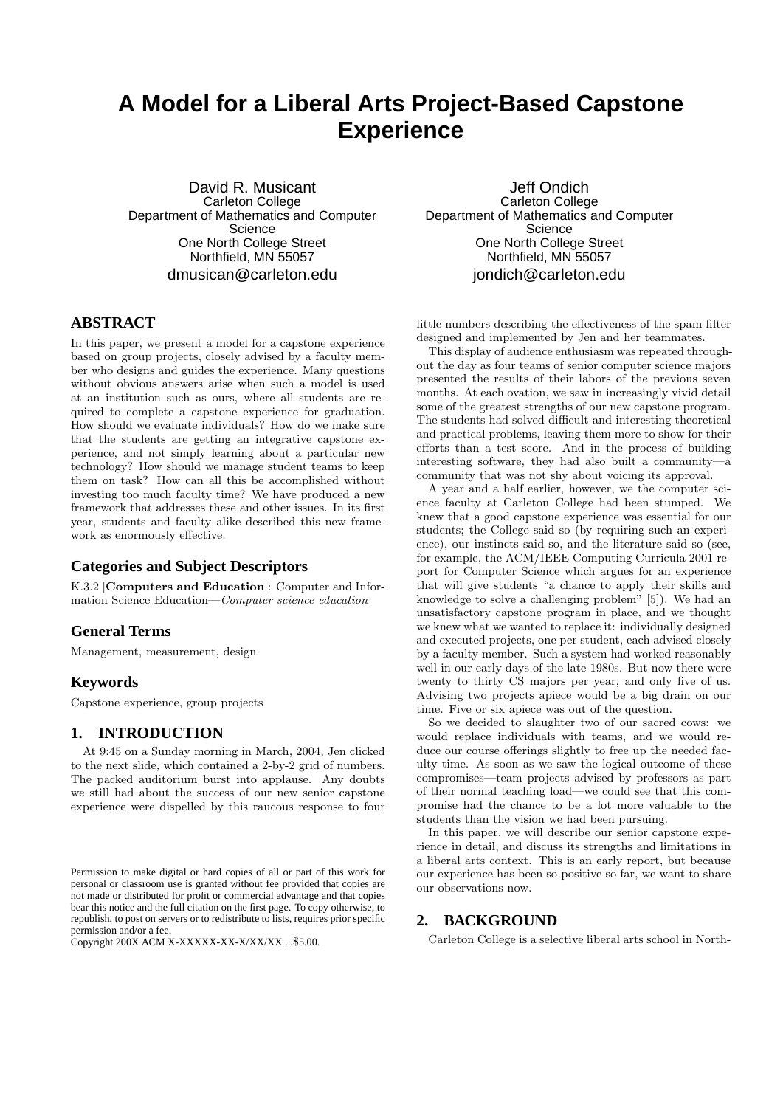# **A Model for a Liberal Arts Project-Based Capstone Experience**

David R. Musicant Carleton College Department of Mathematics and Computer **Science** One North College Street Northfield, MN 55057 dmusican@carleton.edu

# **ABSTRACT**

In this paper, we present a model for a capstone experience based on group projects, closely advised by a faculty member who designs and guides the experience. Many questions without obvious answers arise when such a model is used at an institution such as ours, where all students are required to complete a capstone experience for graduation. How should we evaluate individuals? How do we make sure that the students are getting an integrative capstone experience, and not simply learning about a particular new technology? How should we manage student teams to keep them on task? How can all this be accomplished without investing too much faculty time? We have produced a new framework that addresses these and other issues. In its first year, students and faculty alike described this new framework as enormously effective.

## **Categories and Subject Descriptors**

K.3.2 [Computers and Education]: Computer and Information Science Education—Computer science education

# **General Terms**

Management, measurement, design

#### **Keywords**

Capstone experience, group projects

## **1. INTRODUCTION**

At 9:45 on a Sunday morning in March, 2004, Jen clicked to the next slide, which contained a 2-by-2 grid of numbers. The packed auditorium burst into applause. Any doubts we still had about the success of our new senior capstone experience were dispelled by this raucous response to four

Copyright 200X ACM X-XXXXX-XX-X/XX/XX ...\$5.00.

Jeff Ondich Carleton College Department of Mathematics and Computer **Science** One North College Street Northfield, MN 55057 jondich@carleton.edu

little numbers describing the effectiveness of the spam filter designed and implemented by Jen and her teammates.

This display of audience enthusiasm was repeated throughout the day as four teams of senior computer science majors presented the results of their labors of the previous seven months. At each ovation, we saw in increasingly vivid detail some of the greatest strengths of our new capstone program. The students had solved difficult and interesting theoretical and practical problems, leaving them more to show for their efforts than a test score. And in the process of building interesting software, they had also built a community—a community that was not shy about voicing its approval.

A year and a half earlier, however, we the computer science faculty at Carleton College had been stumped. We knew that a good capstone experience was essential for our students; the College said so (by requiring such an experience), our instincts said so, and the literature said so (see, for example, the ACM/IEEE Computing Curricula 2001 report for Computer Science which argues for an experience that will give students "a chance to apply their skills and knowledge to solve a challenging problem" [5]). We had an unsatisfactory capstone program in place, and we thought we knew what we wanted to replace it: individually designed and executed projects, one per student, each advised closely by a faculty member. Such a system had worked reasonably well in our early days of the late 1980s. But now there were twenty to thirty CS majors per year, and only five of us. Advising two projects apiece would be a big drain on our time. Five or six apiece was out of the question.

So we decided to slaughter two of our sacred cows: we would replace individuals with teams, and we would reduce our course offerings slightly to free up the needed faculty time. As soon as we saw the logical outcome of these compromises—team projects advised by professors as part of their normal teaching load—we could see that this compromise had the chance to be a lot more valuable to the students than the vision we had been pursuing.

In this paper, we will describe our senior capstone experience in detail, and discuss its strengths and limitations in a liberal arts context. This is an early report, but because our experience has been so positive so far, we want to share our observations now.

#### **2. BACKGROUND**

Carleton College is a selective liberal arts school in North-

Permission to make digital or hard copies of all or part of this work for personal or classroom use is granted without fee provided that copies are not made or distributed for profit or commercial advantage and that copies bear this notice and the full citation on the first page. To copy otherwise, to republish, to post on servers or to redistribute to lists, requires prior specific permission and/or a fee.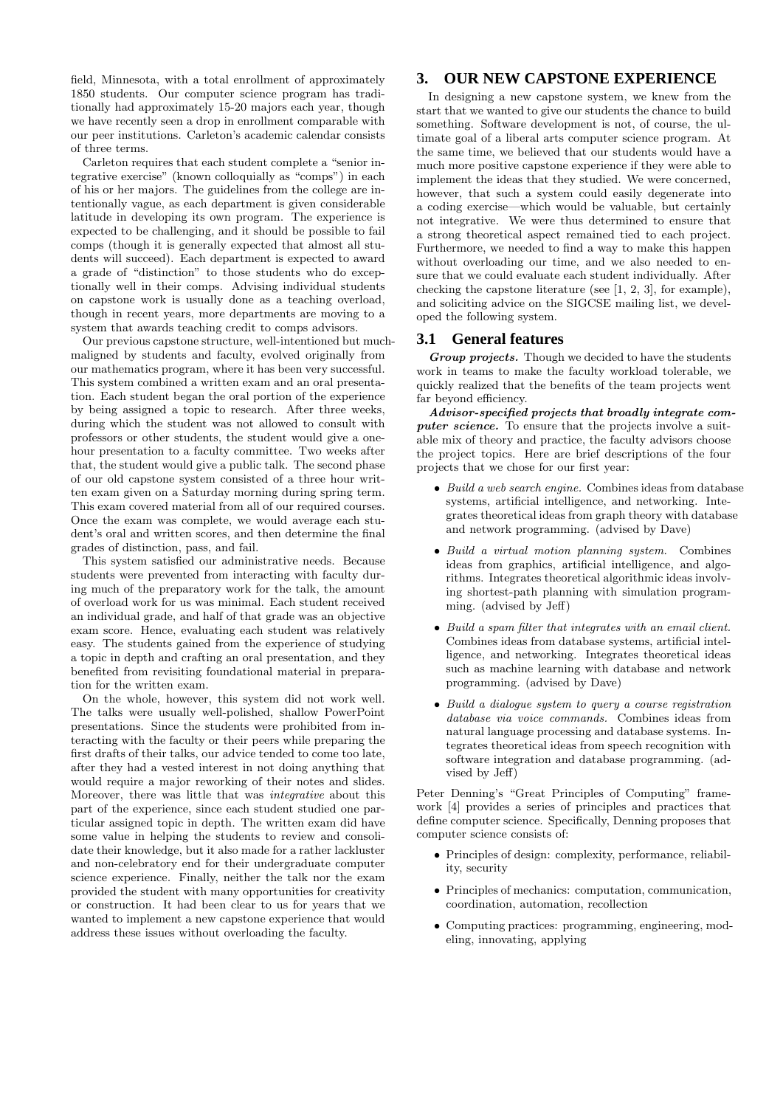field, Minnesota, with a total enrollment of approximately 1850 students. Our computer science program has traditionally had approximately 15-20 majors each year, though we have recently seen a drop in enrollment comparable with our peer institutions. Carleton's academic calendar consists of three terms.

Carleton requires that each student complete a "senior integrative exercise" (known colloquially as "comps") in each of his or her majors. The guidelines from the college are intentionally vague, as each department is given considerable latitude in developing its own program. The experience is expected to be challenging, and it should be possible to fail comps (though it is generally expected that almost all students will succeed). Each department is expected to award a grade of "distinction" to those students who do exceptionally well in their comps. Advising individual students on capstone work is usually done as a teaching overload, though in recent years, more departments are moving to a system that awards teaching credit to comps advisors.

Our previous capstone structure, well-intentioned but muchmaligned by students and faculty, evolved originally from our mathematics program, where it has been very successful. This system combined a written exam and an oral presentation. Each student began the oral portion of the experience by being assigned a topic to research. After three weeks, during which the student was not allowed to consult with professors or other students, the student would give a onehour presentation to a faculty committee. Two weeks after that, the student would give a public talk. The second phase of our old capstone system consisted of a three hour written exam given on a Saturday morning during spring term. This exam covered material from all of our required courses. Once the exam was complete, we would average each student's oral and written scores, and then determine the final grades of distinction, pass, and fail.

This system satisfied our administrative needs. Because students were prevented from interacting with faculty during much of the preparatory work for the talk, the amount of overload work for us was minimal. Each student received an individual grade, and half of that grade was an objective exam score. Hence, evaluating each student was relatively easy. The students gained from the experience of studying a topic in depth and crafting an oral presentation, and they benefited from revisiting foundational material in preparation for the written exam.

On the whole, however, this system did not work well. The talks were usually well-polished, shallow PowerPoint presentations. Since the students were prohibited from interacting with the faculty or their peers while preparing the first drafts of their talks, our advice tended to come too late, after they had a vested interest in not doing anything that would require a major reworking of their notes and slides. Moreover, there was little that was integrative about this part of the experience, since each student studied one particular assigned topic in depth. The written exam did have some value in helping the students to review and consolidate their knowledge, but it also made for a rather lackluster and non-celebratory end for their undergraduate computer science experience. Finally, neither the talk nor the exam provided the student with many opportunities for creativity or construction. It had been clear to us for years that we wanted to implement a new capstone experience that would address these issues without overloading the faculty.

# **3. OUR NEW CAPSTONE EXPERIENCE**

In designing a new capstone system, we knew from the start that we wanted to give our students the chance to build something. Software development is not, of course, the ultimate goal of a liberal arts computer science program. At the same time, we believed that our students would have a much more positive capstone experience if they were able to implement the ideas that they studied. We were concerned, however, that such a system could easily degenerate into a coding exercise—which would be valuable, but certainly not integrative. We were thus determined to ensure that a strong theoretical aspect remained tied to each project. Furthermore, we needed to find a way to make this happen without overloading our time, and we also needed to ensure that we could evaluate each student individually. After checking the capstone literature (see [1, 2, 3], for example), and soliciting advice on the SIGCSE mailing list, we developed the following system.

## **3.1 General features**

Group projects. Though we decided to have the students work in teams to make the faculty workload tolerable, we quickly realized that the benefits of the team projects went far beyond efficiency.

Advisor-specified projects that broadly integrate computer science. To ensure that the projects involve a suitable mix of theory and practice, the faculty advisors choose the project topics. Here are brief descriptions of the four projects that we chose for our first year:

- Build a web search engine. Combines ideas from database systems, artificial intelligence, and networking. Integrates theoretical ideas from graph theory with database and network programming. (advised by Dave)
- Build a virtual motion planning system. Combines ideas from graphics, artificial intelligence, and algorithms. Integrates theoretical algorithmic ideas involving shortest-path planning with simulation programming. (advised by Jeff)
- Build a spam filter that integrates with an email client. Combines ideas from database systems, artificial intelligence, and networking. Integrates theoretical ideas such as machine learning with database and network programming. (advised by Dave)
- Build a dialogue system to query a course registration database via voice commands. Combines ideas from natural language processing and database systems. Integrates theoretical ideas from speech recognition with software integration and database programming. (advised by Jeff)

Peter Denning's "Great Principles of Computing" framework [4] provides a series of principles and practices that define computer science. Specifically, Denning proposes that computer science consists of:

- Principles of design: complexity, performance, reliability, security
- Principles of mechanics: computation, communication, coordination, automation, recollection
- Computing practices: programming, engineering, modeling, innovating, applying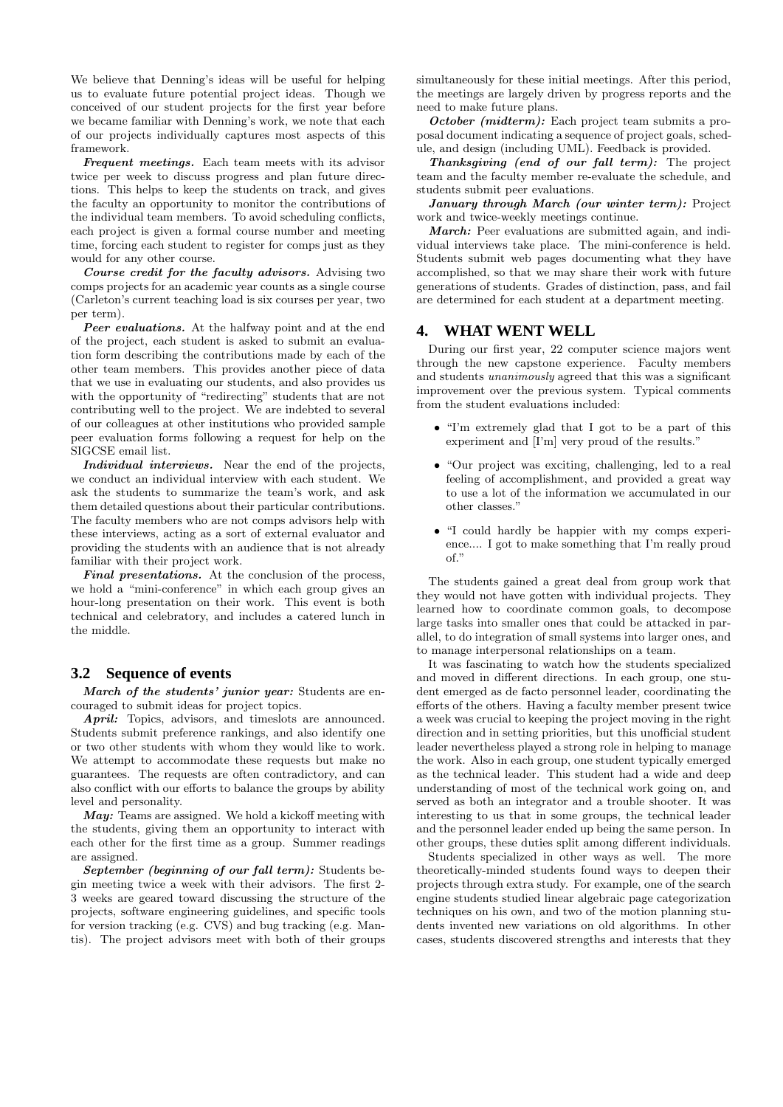We believe that Denning's ideas will be useful for helping us to evaluate future potential project ideas. Though we conceived of our student projects for the first year before we became familiar with Denning's work, we note that each of our projects individually captures most aspects of this framework.

Frequent meetings. Each team meets with its advisor twice per week to discuss progress and plan future directions. This helps to keep the students on track, and gives the faculty an opportunity to monitor the contributions of the individual team members. To avoid scheduling conflicts, each project is given a formal course number and meeting time, forcing each student to register for comps just as they would for any other course.

Course credit for the faculty advisors. Advising two comps projects for an academic year counts as a single course (Carleton's current teaching load is six courses per year, two per term).

Peer evaluations. At the halfway point and at the end of the project, each student is asked to submit an evaluation form describing the contributions made by each of the other team members. This provides another piece of data that we use in evaluating our students, and also provides us with the opportunity of "redirecting" students that are not contributing well to the project. We are indebted to several of our colleagues at other institutions who provided sample peer evaluation forms following a request for help on the SIGCSE email list.

Individual interviews. Near the end of the projects, we conduct an individual interview with each student. We ask the students to summarize the team's work, and ask them detailed questions about their particular contributions. The faculty members who are not comps advisors help with these interviews, acting as a sort of external evaluator and providing the students with an audience that is not already familiar with their project work.

Final presentations. At the conclusion of the process, we hold a "mini-conference" in which each group gives an hour-long presentation on their work. This event is both technical and celebratory, and includes a catered lunch in the middle.

## **3.2 Sequence of events**

March of the students' junior year: Students are encouraged to submit ideas for project topics.

April: Topics, advisors, and timeslots are announced. Students submit preference rankings, and also identify one or two other students with whom they would like to work. We attempt to accommodate these requests but make no guarantees. The requests are often contradictory, and can also conflict with our efforts to balance the groups by ability level and personality.

 $\boldsymbol{May:}$  Teams are assigned. We hold a kickoff meeting with the students, giving them an opportunity to interact with each other for the first time as a group. Summer readings are assigned.

September (beginning of our fall term): Students begin meeting twice a week with their advisors. The first 2- 3 weeks are geared toward discussing the structure of the projects, software engineering guidelines, and specific tools for version tracking (e.g. CVS) and bug tracking (e.g. Mantis). The project advisors meet with both of their groups simultaneously for these initial meetings. After this period, the meetings are largely driven by progress reports and the need to make future plans.

October (midterm): Each project team submits a proposal document indicating a sequence of project goals, schedule, and design (including UML). Feedback is provided.

Thanksgiving (end of our fall term): The project team and the faculty member re-evaluate the schedule, and students submit peer evaluations.

January through March (our winter term): Project work and twice-weekly meetings continue.

March: Peer evaluations are submitted again, and individual interviews take place. The mini-conference is held. Students submit web pages documenting what they have accomplished, so that we may share their work with future generations of students. Grades of distinction, pass, and fail are determined for each student at a department meeting.

#### **4. WHAT WENT WELL**

During our first year, 22 computer science majors went through the new capstone experience. Faculty members and students unanimously agreed that this was a significant improvement over the previous system. Typical comments from the student evaluations included:

- "I'm extremely glad that I got to be a part of this experiment and [I'm] very proud of the results."
- "Our project was exciting, challenging, led to a real feeling of accomplishment, and provided a great way to use a lot of the information we accumulated in our other classes."
- "I could hardly be happier with my comps experience.... I got to make something that I'm really proud  $\alpha$ f"

The students gained a great deal from group work that they would not have gotten with individual projects. They learned how to coordinate common goals, to decompose large tasks into smaller ones that could be attacked in parallel, to do integration of small systems into larger ones, and to manage interpersonal relationships on a team.

It was fascinating to watch how the students specialized and moved in different directions. In each group, one student emerged as de facto personnel leader, coordinating the efforts of the others. Having a faculty member present twice a week was crucial to keeping the project moving in the right direction and in setting priorities, but this unofficial student leader nevertheless played a strong role in helping to manage the work. Also in each group, one student typically emerged as the technical leader. This student had a wide and deep understanding of most of the technical work going on, and served as both an integrator and a trouble shooter. It was interesting to us that in some groups, the technical leader and the personnel leader ended up being the same person. In other groups, these duties split among different individuals.

Students specialized in other ways as well. The more theoretically-minded students found ways to deepen their projects through extra study. For example, one of the search engine students studied linear algebraic page categorization techniques on his own, and two of the motion planning students invented new variations on old algorithms. In other cases, students discovered strengths and interests that they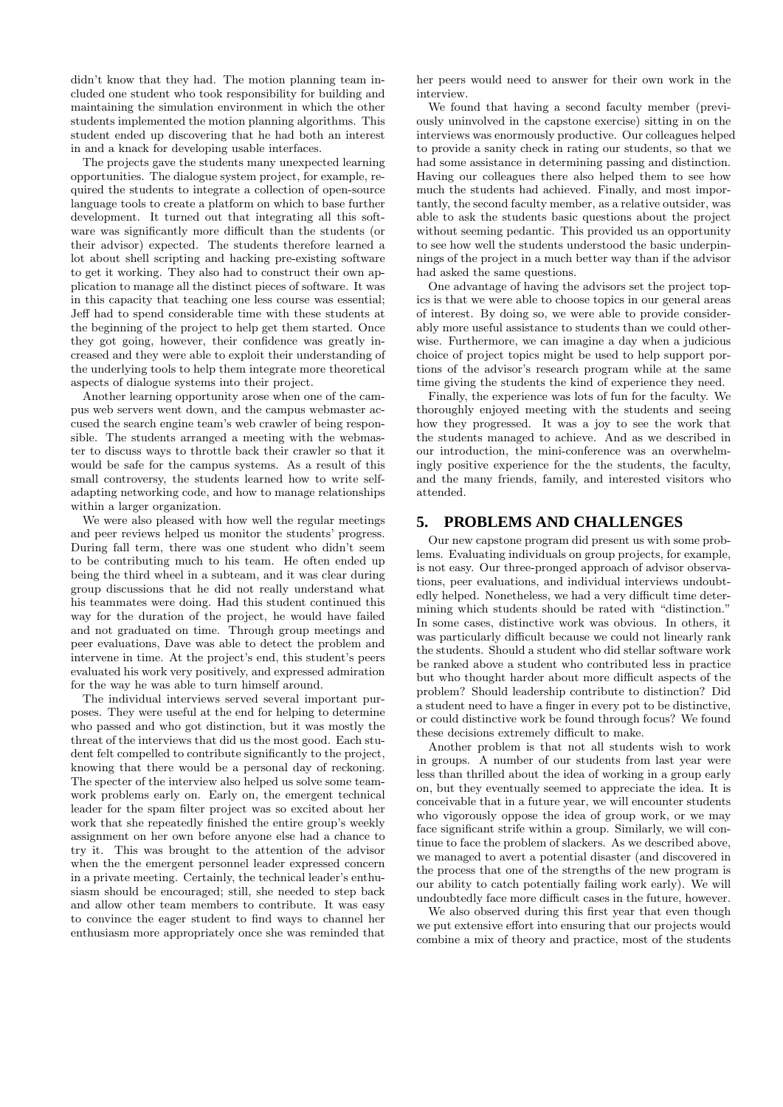didn't know that they had. The motion planning team included one student who took responsibility for building and maintaining the simulation environment in which the other students implemented the motion planning algorithms. This student ended up discovering that he had both an interest in and a knack for developing usable interfaces.

The projects gave the students many unexpected learning opportunities. The dialogue system project, for example, required the students to integrate a collection of open-source language tools to create a platform on which to base further development. It turned out that integrating all this software was significantly more difficult than the students (or their advisor) expected. The students therefore learned a lot about shell scripting and hacking pre-existing software to get it working. They also had to construct their own application to manage all the distinct pieces of software. It was in this capacity that teaching one less course was essential; Jeff had to spend considerable time with these students at the beginning of the project to help get them started. Once they got going, however, their confidence was greatly increased and they were able to exploit their understanding of the underlying tools to help them integrate more theoretical aspects of dialogue systems into their project.

Another learning opportunity arose when one of the campus web servers went down, and the campus webmaster accused the search engine team's web crawler of being responsible. The students arranged a meeting with the webmaster to discuss ways to throttle back their crawler so that it would be safe for the campus systems. As a result of this small controversy, the students learned how to write selfadapting networking code, and how to manage relationships within a larger organization.

We were also pleased with how well the regular meetings and peer reviews helped us monitor the students' progress. During fall term, there was one student who didn't seem to be contributing much to his team. He often ended up being the third wheel in a subteam, and it was clear during group discussions that he did not really understand what his teammates were doing. Had this student continued this way for the duration of the project, he would have failed and not graduated on time. Through group meetings and peer evaluations, Dave was able to detect the problem and intervene in time. At the project's end, this student's peers evaluated his work very positively, and expressed admiration for the way he was able to turn himself around.

The individual interviews served several important purposes. They were useful at the end for helping to determine who passed and who got distinction, but it was mostly the threat of the interviews that did us the most good. Each student felt compelled to contribute significantly to the project, knowing that there would be a personal day of reckoning. The specter of the interview also helped us solve some teamwork problems early on. Early on, the emergent technical leader for the spam filter project was so excited about her work that she repeatedly finished the entire group's weekly assignment on her own before anyone else had a chance to try it. This was brought to the attention of the advisor when the the emergent personnel leader expressed concern in a private meeting. Certainly, the technical leader's enthusiasm should be encouraged; still, she needed to step back and allow other team members to contribute. It was easy to convince the eager student to find ways to channel her enthusiasm more appropriately once she was reminded that

her peers would need to answer for their own work in the interview.

We found that having a second faculty member (previously uninvolved in the capstone exercise) sitting in on the interviews was enormously productive. Our colleagues helped to provide a sanity check in rating our students, so that we had some assistance in determining passing and distinction. Having our colleagues there also helped them to see how much the students had achieved. Finally, and most importantly, the second faculty member, as a relative outsider, was able to ask the students basic questions about the project without seeming pedantic. This provided us an opportunity to see how well the students understood the basic underpinnings of the project in a much better way than if the advisor had asked the same questions.

One advantage of having the advisors set the project topics is that we were able to choose topics in our general areas of interest. By doing so, we were able to provide considerably more useful assistance to students than we could otherwise. Furthermore, we can imagine a day when a judicious choice of project topics might be used to help support portions of the advisor's research program while at the same time giving the students the kind of experience they need.

Finally, the experience was lots of fun for the faculty. We thoroughly enjoyed meeting with the students and seeing how they progressed. It was a joy to see the work that the students managed to achieve. And as we described in our introduction, the mini-conference was an overwhelmingly positive experience for the the students, the faculty, and the many friends, family, and interested visitors who attended.

# **5. PROBLEMS AND CHALLENGES**

Our new capstone program did present us with some problems. Evaluating individuals on group projects, for example, is not easy. Our three-pronged approach of advisor observations, peer evaluations, and individual interviews undoubtedly helped. Nonetheless, we had a very difficult time determining which students should be rated with "distinction." In some cases, distinctive work was obvious. In others, it was particularly difficult because we could not linearly rank the students. Should a student who did stellar software work be ranked above a student who contributed less in practice but who thought harder about more difficult aspects of the problem? Should leadership contribute to distinction? Did a student need to have a finger in every pot to be distinctive, or could distinctive work be found through focus? We found these decisions extremely difficult to make.

Another problem is that not all students wish to work in groups. A number of our students from last year were less than thrilled about the idea of working in a group early on, but they eventually seemed to appreciate the idea. It is conceivable that in a future year, we will encounter students who vigorously oppose the idea of group work, or we may face significant strife within a group. Similarly, we will continue to face the problem of slackers. As we described above, we managed to avert a potential disaster (and discovered in the process that one of the strengths of the new program is our ability to catch potentially failing work early). We will undoubtedly face more difficult cases in the future, however.

We also observed during this first year that even though we put extensive effort into ensuring that our projects would combine a mix of theory and practice, most of the students